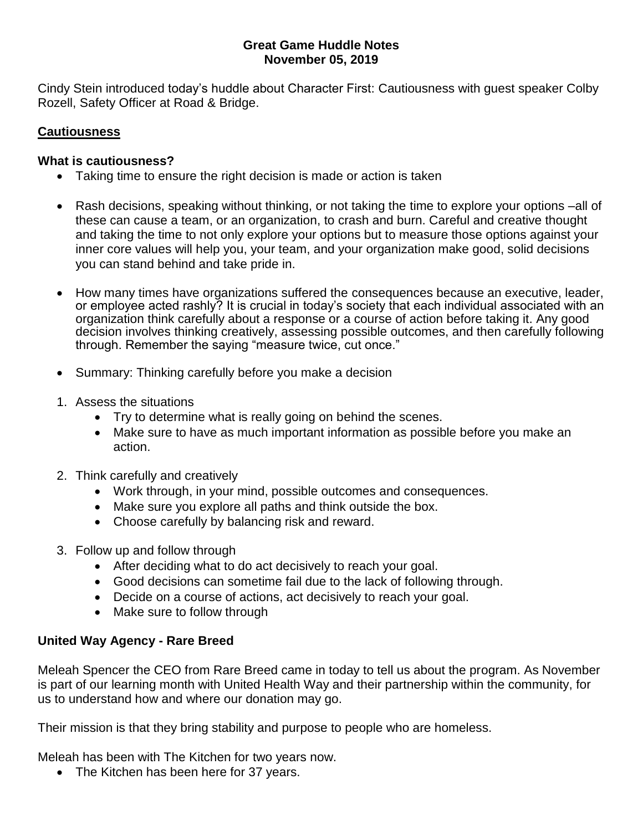### **Great Game Huddle Notes November 05, 2019**

Cindy Stein introduced today's huddle about Character First: Cautiousness with guest speaker Colby Rozell, Safety Officer at Road & Bridge.

# **Cautiousness**

### **What is cautiousness?**

- Taking time to ensure the right decision is made or action is taken
- Rash decisions, speaking without thinking, or not taking the time to explore your options –all of these can cause a team, or an organization, to crash and burn. Careful and creative thought and taking the time to not only explore your options but to measure those options against your inner core values will help you, your team, and your organization make good, solid decisions you can stand behind and take pride in.
- How many times have organizations suffered the consequences because an executive, leader, or employee acted rashly? It is crucial in today's society that each individual associated with an organization think carefully about a response or a course of action before taking it. Any good decision involves thinking creatively, assessing possible outcomes, and then carefully following through. Remember the saying "measure twice, cut once."
- Summary: Thinking carefully before you make a decision
- 1. Assess the situations
	- Try to determine what is really going on behind the scenes.
	- Make sure to have as much important information as possible before you make an action.
- 2. Think carefully and creatively
	- Work through, in your mind, possible outcomes and consequences.
	- Make sure you explore all paths and think outside the box.
	- Choose carefully by balancing risk and reward.
- 3. Follow up and follow through
	- After deciding what to do act decisively to reach your goal.
	- Good decisions can sometime fail due to the lack of following through.
	- Decide on a course of actions, act decisively to reach your goal.
	- Make sure to follow through

# **United Way Agency - Rare Breed**

Meleah Spencer the CEO from Rare Breed came in today to tell us about the program. As November is part of our learning month with United Health Way and their partnership within the community, for us to understand how and where our donation may go.

Their mission is that they bring stability and purpose to people who are homeless.

Meleah has been with The Kitchen for two years now.

• The Kitchen has been here for 37 years.